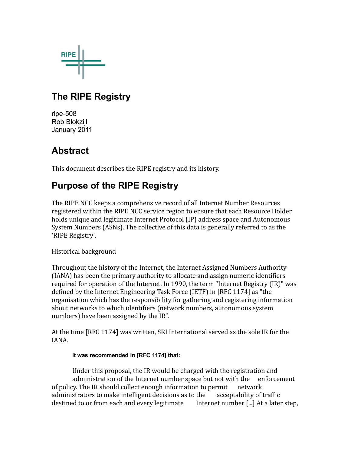

# **The RIPE Registry**

ripe-508 Rob Blokzijl January 2011

# **Abstract**

This document describes the RIPE registry and its history.

# **Purpose of the RIPE Registry**

The RIPE NCC keeps a comprehensive record of all Internet Number Resources registered within the RIPE NCC service region to ensure that each Resource Holder holds unique and legitimate Internet Protocol (IP) address space and Autonomous System Numbers (ASNs). The collective of this data is generally referred to as the 'RIPE Registry'.

Historical background

Throughout the history of the Internet, the Internet Assigned Numbers Authority (IANA) has been the primary authority to allocate and assign numeric identifiers required for operation of the Internet. In 1990, the term "Internet Registry (IR)" was defined by the Internet Engineering Task Force (IETF) in [RFC 1174] as "the organisation which has the responsibility for gathering and registering information about networks to which identifiers (network numbers, autonomous system numbers) have been assigned by the IR".

At the time [RFC 1174] was written, SRI International served as the sole IR for the IANA.

#### **It was recommended in [RFC 1174] that:**

Under this proposal, the IR would be charged with the registration and administration of the Internet number space but not with the enforcement of policy. The IR should collect enough information to permit network administrators to make intelligent decisions as to the acceptability of traffic destined to or from each and every legitimate Internet number [...] At a later step,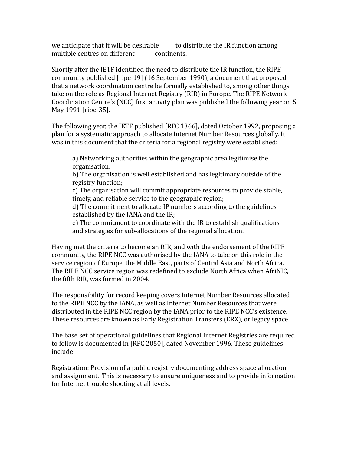we anticipate that it will be desirable to distribute the IR function among multiple centres on different continents.

Shortly after the IETF identified the need to distribute the IR function, the RIPE community published [ripe‐19] (16 September 1990), a document that proposed that a network coordination centre be formally established to, among other things, take on the role as Regional Internet Registry (RIR) in Europe. The RIPE Network Coordination Centre's (NCC) first activity plan was published the following year on 5 May 1991 [ripe‐35].

The following year, the IETF published [RFC 1366], dated October 1992, proposing a plan for a systematic approach to allocate Internet Number Resources globally. It was in this document that the criteria for a regional registry were established:

a) Networking authorities within the geographic area legitimise the organisation;

b) The organisation is well established and has legitimacy outside of the registry function;

c) The organisation will commit appropriate resources to provide stable, timely, and reliable service to the geographic region;

d) The commitment to allocate IP numbers according to the guidelines established by the IANA and the IR;

e) The commitment to coordinate with the IR to establish qualifications and strategies for sub‐allocations of the regional allocation.

Having met the criteria to become an RIR, and with the endorsement of the RIPE community, the RIPE NCC was authorised by the IANA to take on this role in the service region of Europe, the Middle East, parts of Central Asia and North Africa. The RIPE NCC service region was redefined to exclude North Africa when AfriNIC, the fifth RIR, was formed in 2004.

The responsibility for record keeping covers Internet Number Resources allocated to the RIPE NCC by the IANA, as well as Internet Number Resources that were distributed in the RIPE NCC region by the IANA prior to the RIPE NCC's existence. These resources are known as Early Registration Transfers (ERX), or legacy space.

The base set of operational guidelines that Regional Internet Registries are required to follow is documented in [RFC 2050], dated November 1996. These guidelines include:

Registration: Provision of a public registry documenting address space allocation and assignment. This is necessary to ensure uniqueness and to provide information for Internet trouble shooting at all levels.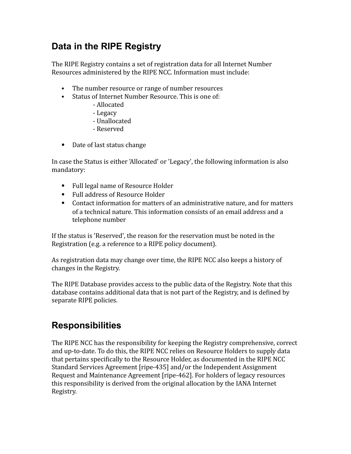# **Data in the RIPE Registry**

The RIPE Registry contains a set of registration data for all Internet Number Resources administered by the RIPE NCC. Information must include:

- The number resource or range of number resources
- Status of Internet Number Resource. This is one of:
	- ‐ Allocated
	- ‐ Legacy
	- ‐ Unallocated
	- ‐ Reserved
- Date of last status change

In case the Status is either 'Allocated' or 'Legacy', the following information is also mandatory:

- Full legal name of Resource Holder
- Full address of Resource Holder
- Contact information for matters of an administrative nature, and for matters of a technical nature. This information consists of an email address and a telephone number

If the status is 'Reserved', the reason for the reservation must be noted in the Registration (e.g. a reference to a RIPE policy document).

As registration data may change over time, the RIPE NCC also keeps a history of changes in the Registry.

The RIPE Database provides access to the public data of the Registry. Note that this database contains additional data that is not part of the Registry, and is deiined by separate RIPE policies.

#### **Responsibilities**

The RIPE NCC has the responsibility for keeping the Registry comprehensive, correct and up‐to‐date. To do this, the RIPE NCC relies on Resource Holders to supply data that pertains specifically to the Resource Holder, as documented in the RIPE NCC Standard Services Agreement [ripe‐435] and/or the Independent Assignment Request and Maintenance Agreement [ripe‐462]. For holders of legacy resources this responsibility is derived from the original allocation by the IANA Internet Registry.